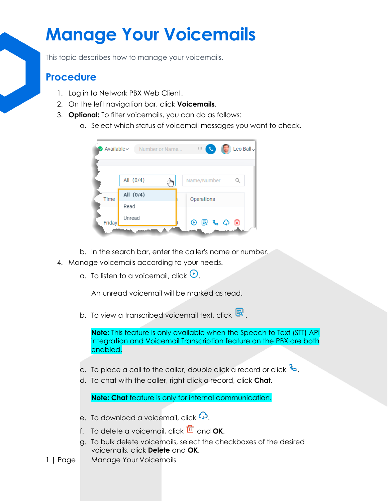## **Manage Your Voicemails**

This topic describes how to manage your voicemails.

## **Procedure**

- 1. Log in to Network PBX Web Client.
- 2. On the left navigation bar, click **Voicemails**.
- 3. **Optional:** To filter voicemails, you can do as follows:
	- a. Select which status of voicemail messages you want to check.



- b. In the search bar, enter the caller's name or number.
- 4. Manage voicemails according to your needs.
	- a. To listen to a voicemail, click  $\Theta$ .

An unread voicemail will be marked as read.

b. To view a transcribed voicemail text, click  $\overline{\mathbb{R}}$ .

**Note:** This feature is only available when the Speech to Text (STT) API integration and Voicemail Transcription feature on the PBX are both enabled.

- c. To place a call to the caller, double click a record or click  $\mathbb{S}$ .
- d. To chat with the caller, right click a record, click **Chat**.

**Note: Chat** feature is only for internal communication.

- e. To download a voicemail, click  $\mathbb Q$ .
- f. To delete a voicemail, click **nd** and **OK**.
- g. To bulk delete voicemails, select the checkboxes of the desired voicemails, click **Delete** and **OK**.
- 1 **|** Page Manage Your Voicemails